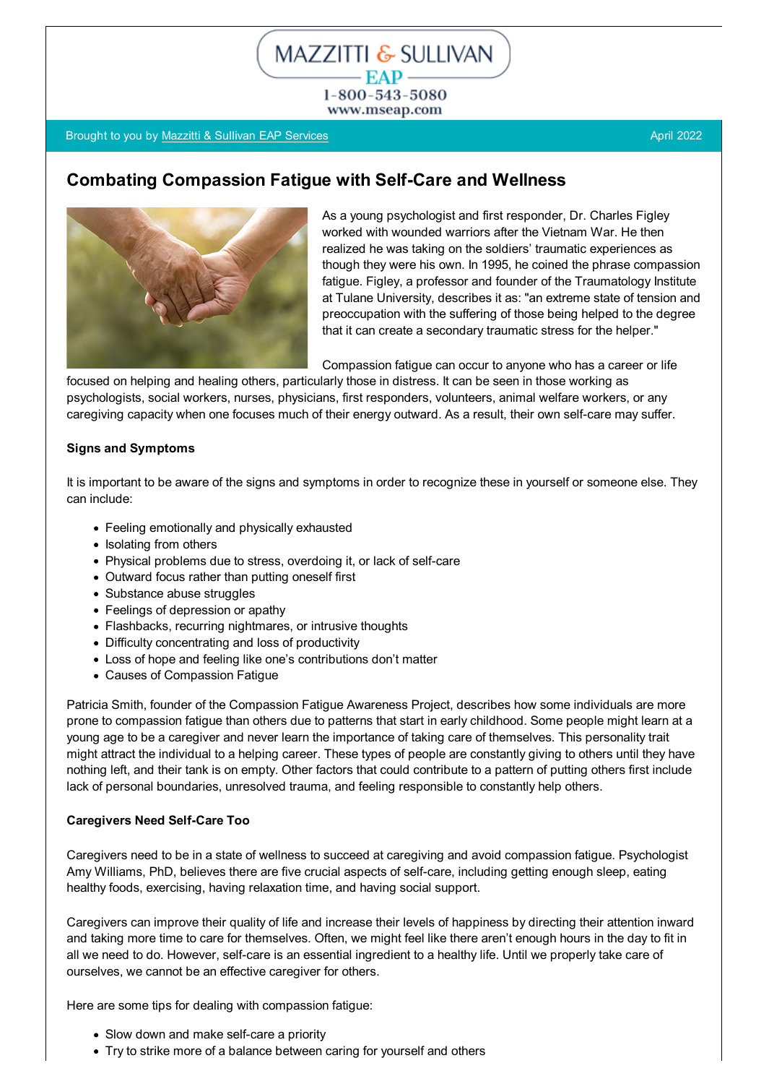1-800-543-5080 www.mseap.com

MAZZITTI & SULLIVAN - EAP -

### Brought to you by [Mazzitti & Sullivan EAP Services](http://www.mseap.com/) April 2022 and the Contract of Contract April 2022

# **Combating Compassion Fatigue with Self-Care and Wellness**



As a young psychologist and first responder, Dr. Charles Figley worked with wounded warriors after the Vietnam War. He then realized he was taking on the soldiers' traumatic experiences as though they were his own. In 1995, he coined the phrase compassion fatigue. Figley, a professor and founder of the Traumatology Institute at Tulane University, describes it as: "an extreme state of tension and preoccupation with the suffering of those being helped to the degree that it can create a secondary traumatic stress for the helper."

Compassion fatigue can occur to anyone who has a career or life

focused on helping and healing others, particularly those in distress. It can be seen in those working as psychologists, social workers, nurses, physicians, first responders, volunteers, animal welfare workers, or any caregiving capacity when one focuses much of their energy outward. As a result, their own self-care may suffer.

#### **Signs and Symptoms**

It is important to be aware of the signs and symptoms in order to recognize these in yourself or someone else. They can include:

- Feeling emotionally and physically exhausted
- Isolating from others
- Physical problems due to stress, overdoing it, or lack of self-care
- Outward focus rather than putting oneself first
- Substance abuse struggles
- Feelings of depression or apathy
- Flashbacks, recurring nightmares, or intrusive thoughts
- Difficulty concentrating and loss of productivity
- Loss of hope and feeling like one's contributions don't matter
- Causes of Compassion Fatigue

Patricia Smith, founder of the Compassion Fatigue Awareness Project, describes how some individuals are more prone to compassion fatigue than others due to patterns that start in early childhood. Some people might learn at a young age to be a caregiver and never learn the importance of taking care of themselves. This personality trait might attract the individual to a helping career. These types of people are constantly giving to others until they have nothing left, and their tank is on empty. Other factors that could contribute to a pattern of putting others first include lack of personal boundaries, unresolved trauma, and feeling responsible to constantly help others.

#### **Caregivers Need Self-Care Too**

Caregivers need to be in a state of wellness to succeed at caregiving and avoid compassion fatigue. Psychologist Amy Williams, PhD, believes there are five crucial aspects of self-care, including getting enough sleep, eating healthy foods, exercising, having relaxation time, and having social support.

Caregivers can improve their quality of life and increase their levels of happiness by directing their attention inward and taking more time to care for themselves. Often, we might feel like there aren't enough hours in the day to fit in all we need to do. However, self-care is an essential ingredient to a healthy life. Until we properly take care of ourselves, we cannot be an effective caregiver for others.

Here are some tips for dealing with compassion fatigue:

- Slow down and make self-care a priority
- Try to strike more of a balance between caring for yourself and others